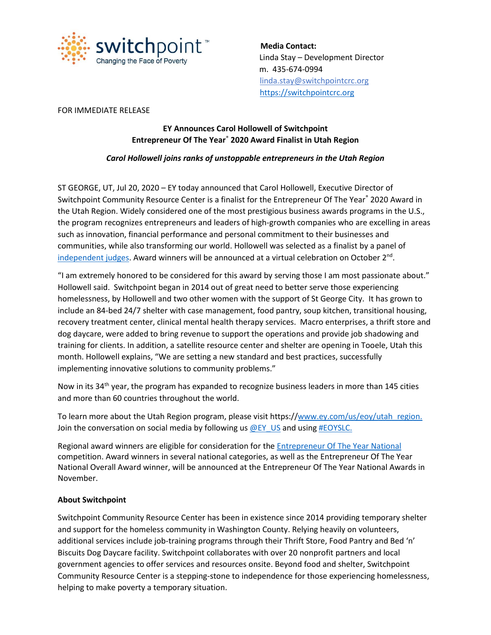

 **Media Contact:** Linda Stay – Development Director m. 435-674-0994 linda.stay@switchpointcrc.org [https://switchpointcrc.org](https://switchpointcrc.org/)

#### FOR IMMEDIATE RELEASE

# **EY Announces Carol Hollowell of Switchpoint Entrepreneur Of The Year**® **2020 Award Finalist in Utah Region**

## *Carol Hollowell joins ranks of unstoppable entrepreneurs in the Utah Region*

ST GEORGE, UT, Jul 20, 2020 – EY today announced that Carol Hollowell, Executive Director of Switchpoint Community Resource Center is a finalist for the Entrepreneur Of The Year® 2020 Award in the Utah Region. Widely considered one of the most prestigious business awards programs in the U.S., the program recognizes entrepreneurs and leaders of high-growth companies who are excelling in areas such as innovation, financial performance and personal commitment to their businesses and communities, while also transforming our world. Hollowell was selected as a finalist by a panel of [independent judges.](https://www.ey.com/en_us/entrepreneur-of-the-year/utah/judges) Award winners will be announced at a virtual celebration on October 2<sup>nd</sup>.

"I am extremely honored to be considered for this award by serving those I am most passionate about." Hollowell said. Switchpoint began in 2014 out of great need to better serve those experiencing homelessness, by Hollowell and two other women with the support of St George City. It has grown to include an 84-bed 24/7 shelter with case management, food pantry, soup kitchen, transitional housing, recovery treatment center, clinical mental health therapy services. Macro enterprises, a thrift store and dog daycare, were added to bring revenue to support the operations and provide job shadowing and training for clients. In addition, a satellite resource center and shelter are opening in Tooele, Utah this month. Hollowell explains, "We are setting a new standard and best practices, successfully implementing innovative solutions to community problems."

Now in its 34<sup>th</sup> year, the program has expanded to recognize business leaders in more than 145 cities and more than 60 countries throughout the world.

To learn more about the Utah Region program, please visit https:/[/www.ey.com/us/eoy/utah\\_region.](http://www.ey.com/us/eoy/utah_region.) Join the conversation on social media by following us  $@EY$  US and usin[g #EOYSLC.](https://twitter.com/search?q=%23EOYSLC&src=typd)

Regional award winners are eligible for consideration for the [Entrepreneur Of](http://www.ey.com/us/eoy) The Year National competition. Award winners in several national categories, as well as the Entrepreneur Of The Year National Overall Award winner, will be announced at the Entrepreneur Of The Year National Awards in November.

### **About Switchpoint**

Switchpoint Community Resource Center has been in existence since 2014 providing temporary shelter and support for the homeless community in Washington County. Relying heavily on volunteers, additional services include job-training programs through their Thrift Store, Food Pantry and Bed 'n' Biscuits Dog Daycare facility. Switchpoint collaborates with over 20 nonprofit partners and local government agencies to offer services and resources onsite. Beyond food and shelter, Switchpoint Community Resource Center is a stepping-stone to independence for those experiencing homelessness, helping to make poverty a temporary situation.